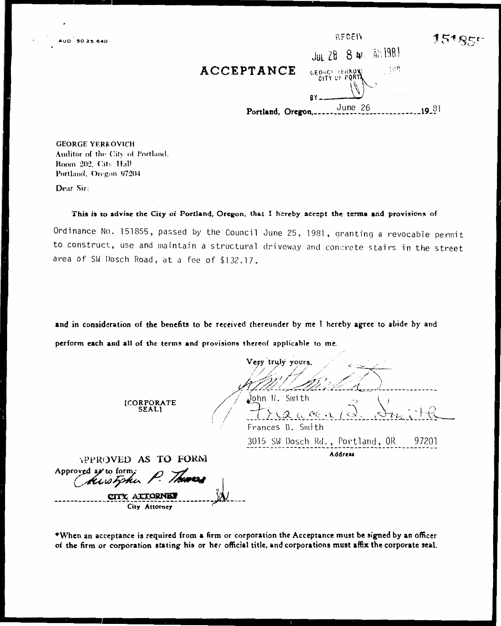|                   | RECEIV                          |  |
|-------------------|---------------------------------|--|
|                   | JUL 28 8 4t. AN 1981            |  |
| ACCEPTANCE        | ्रेटेर<br><b>GEORGE TERKONI</b> |  |
|                   | R٢                              |  |
| Portland, Oregon, | June 26                         |  |

**GEORGE YERKOVICH** Auditor of the City of Portland. Room 202, City Hall Portland, Oregon 97204

Dear Sir:

#### This is to advise the City of Portland, Oregon, that I hereby accept the terms and provisions of

Ordinance No. 151855, passed by the Council June 25, 1981, granting a revocable permit to construct, use and maintain a structural driveway and concrete stairs in the street area of SW Dosch Road, at a fee of \$132.17,

and in consideration of the benefits to be received thereunder by me I hereby agree to abide by and perform each and all of the terms and provisions thereof applicable to me.

Very truly yours John H. Smith **[CORPORATE SEALI** Frances B. Smith 3015 SW Dosch Rd., Portland, OR 97201 Address APPROVED AS TO FORM Approved as to form. Kustphu CITY ATTORNEY City Attorney

\*When an acceptance is required from a firm or corporation the Acceptance must be signed by an officer of the firm or corporation stating his or her official title, and corporations must affix the corporate seal.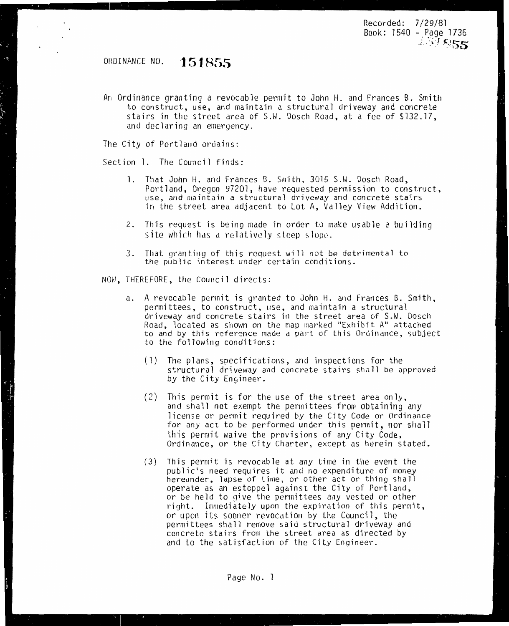Recorded: 7/29/81 Book: 1540 - Page 1736 *:* •;- -*I* )  $4.71855$ 

### OHDINANCE NO. **·151855**

An Ordinance granting a revocable permit to John H. and Frances B. Smith to construct, use, and maintain a structural driveway and concrete stairs in the street area of S.W. Dosch Road, at a fee of \$132.17, and declaring an emergency.

The City of Portland ordains:

Section l. The Council finds:

- 1. That John H. and Frances B. Smith, 3015 S.W. Dosch Road, Portland, Oregon 97201, have requested permission to construct, use, and maintain a structural driveway and concrete stairs in the street area adjacent to Lot A, Valley View Addition.
- 2. This request is being made in order to make usable a building site which has a relatively steep slope.
- 3. That granting of this request will not be detrimental to the public interest under certain conditions.

NOvJ, THEREFORE, the Council directs:

- a. A revocable permit is granted to John H. and Frances B. Smith, permittees, to construct, use, and maintain a structural driveway and concrete stairs in the street area of S.W. Dosch Road, located as shown on the map marked "Exhibit A" attached to and by this reference made a part of this Ordinance, subject to the following conditions:
	- (l) The plans, specifications, and inspections for the structural driveway and concrete stairs shall be approved *by* the City Engineer.
	- (2) This permit is for the use of the street area only, and shall not exempt the permittees from obtaining any license or permit required *by* the City Code or Ordinance for any act to be performed under this permit, nor shall this permit waive the provisions of any City Code, Ordinance, or the City Charter, except as herein stated.
	- (3) This permit is revocable at any time in the event the hereunder, lapse of time, or other act or thing shall operate as an estoppel against the City of Portland, or be held to give the permittees any vested or other right. Immediately upon the expiration of this permit, or upon its sooner revocation *by* the Council, the permittees shall remove said structural driveway and concrete stairs from the street area as directed by and to the satisfaction of the City Engineer.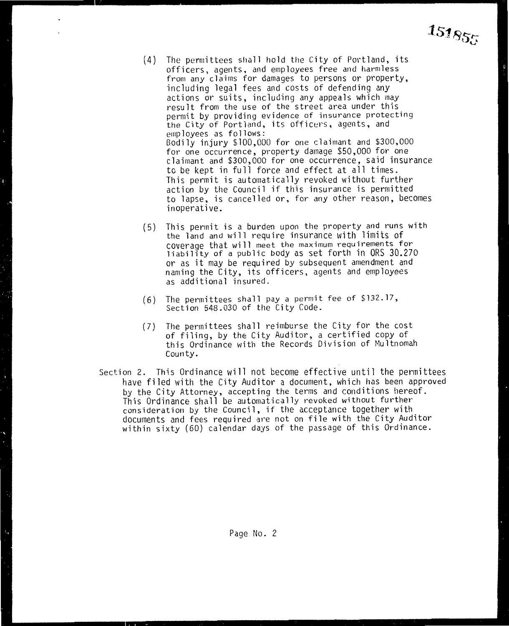- (4) The permittees shall hold the City of Portland, its officers, agents, and employees free and harmless from any claims for damages to persons or property, including legal fees and costs of defending any actions or suits, including any appeals which may result from the use of the street area under this permit by providing evidence of insurance protecting the City of Portland, its officers, agents, and employees as follows: Bodily injury \$100,000 for one claimant and \$300,000 for one occurrence, property damage \$50,000 for one claimant and \$300,000 for one occurrence, said insurance to be kept in full force and effect at all times. This permit is automatically revoked without further action by the Council if this insurance is permitted to lapse, is cancelled or, for any other reason, becomes inoperative.
- (5) This pennit is a burden upon the property and runs with the land and will require insurance with limits of<br>coverage that will meet the maximum requirements for liability of a public body as set forth in ORS 30.270 or as it may be required *by* subsequent amendment and naming the City, its officers, agents and employees as additional insured.
- (6) The permittees shall pay a permit fee of \$132.17, Section 548.030 of the City Code.
- (7) The permittees shall reimburse the City for the cost of filing, by the City Auditor, a certified copy of this Ordinance with the Records Division of Multnomah County.
- Section 2. This Ordinance will not become effective until the permittees have filed with the City Auditor a document, which has been approved by the City Attorney, accepting the terms and conditions hereof. This Ordinance shall be automatically revoked without further consideration by the Council, if the acceptance together with documents and fees required are not on file with the City Auditor within sixty (60) calendar days of the passage of this Ordinance.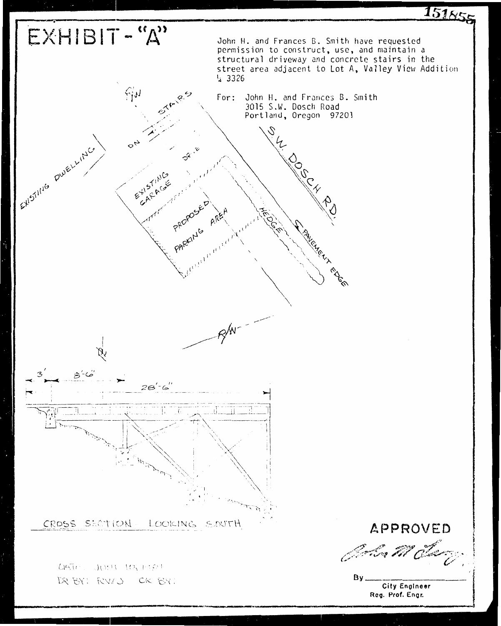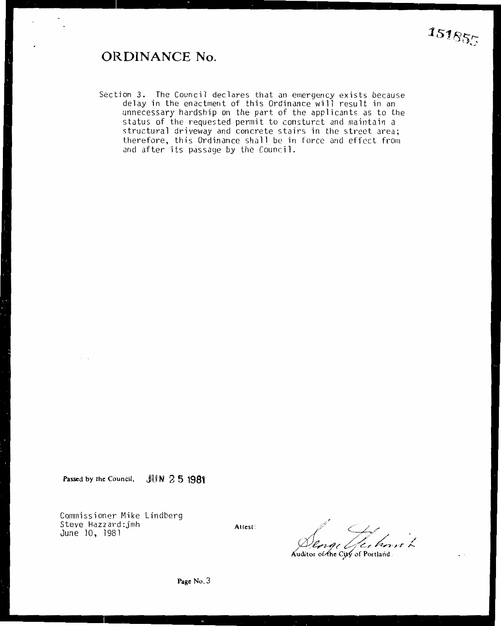### **ORDINANCE No.**

Section 3. The Council declares that an emergency exists because delay in the enactment of this Ordinance will result in an unnecessary hardship on the part of the applicants as to the status of the requested permit to consturct and maintain a structural driveway and concrete stairs in the street area; therefore, this Ordinance shall be in force and effect from and after its passage by the Council.

Passed by the Council, JUN 2 5 1981

Commissioner Mike Lindberg Steve Hazzard:jmh June 10, 1981

Attest:

*,-1'*   $\ell$  C/ 0! **/!,14** ( /4~:1/ **/4.,/** *Fl'-* /

Auditor of the City of Portland